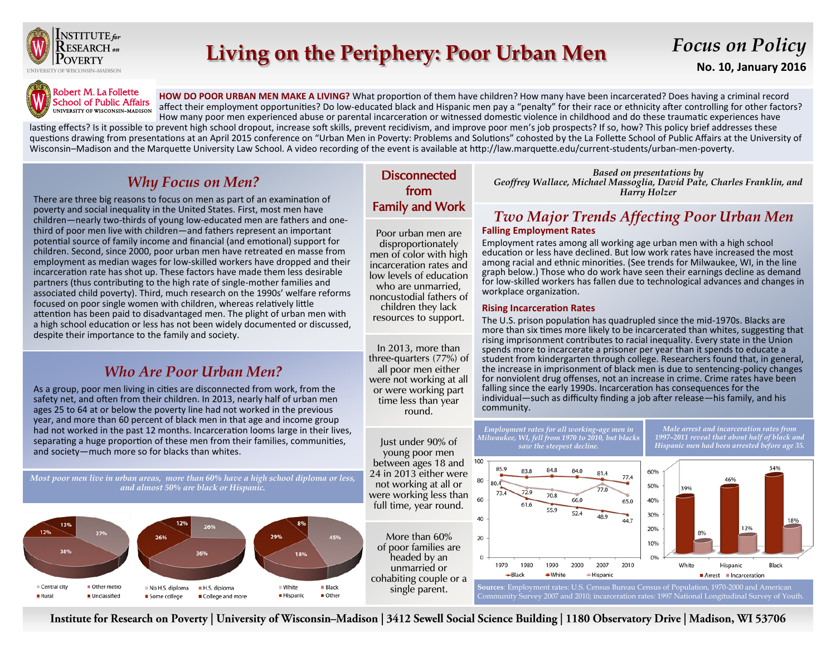

# **Living on the Periphery: Poor Urban Men**

# *Focus on Policy*

**No. 10, January 2016**



**HOW DO POOR URBAN MEN MAKE A LIVING?** What proportion of them have children? How many have been incarcerated? Does having a criminal record affect their employment opportunities? Do low-educated black and Hispanic men pay a "penalty" for their race or ethnicity after controlling for other factors? How many poor men experienced abuse or parental incarceration or witnessed domestic violence in childhood and do these traumatic experiences have

lasting effects? Is it possible to prevent high school dropout, increase soft skills, prevent recidivism, and improve poor men's job prospects? If so, how? This policy brief addresses these questions drawing from presentations at an April 2015 conference on "Urban Men in Poverty: Problems and Solutions" cohosted by the La Follette School of Public Affairs at the University of Wisconsin–Madison and the Marquette University Law School. A video recording of the event is available at http://law.marquette.edu/current-students/urban-men-poverty.

## *Why Focus on Men?*

There are three big reasons to focus on men as part of an examination of poverty and social inequality in the United States. First, most men have children—nearly two-thirds of young low-educated men are fathers and onethird of poor men live with children—and fathers represent an important potential source of family income and financial (and emotional) support for children. Second, since 2000, poor urban men have retreated en masse from employment as median wages for low-skilled workers have dropped and their incarceration rate has shot up. These factors have made them less desirable partners (thus contributing to the high rate of single-mother families and associated child poverty). Third, much research on the 1990s' welfare reforms focused on poor single women with children, whereas relatively little attention has been paid to disadvantaged men. The plight of urban men with a high school education or less has not been widely documented or discussed, despite their importance to the family and society.

### *Who Are Poor Urban Men?*

As a group, poor men living in cities are disconnected from work, from the safety net, and often from their children. In 2013, nearly half of urban men ages 25 to 64 at or below the poverty line had not worked in the previous year, and more than 60 percent of black men in that age and income group had not worked in the past 12 months. Incarceration looms large in their lives, separating a huge proportion of these men from their families, communities, and society—much more so for blacks than whites.

*Most poor men live in urban areas, more than 60% have a high school diploma or less, and almost 50% are black or Hispanic.*



### **Disconnected** from Family and Work

Poor urban men are disproportionately men of color with high incarceration rates and low levels of education who are unmarried, noncustodial fathers of children they lack resources to support.

In 2013, more than three-quarters (77%) of all poor men either were not working at all or were working part time less than year round.

Just under 90% of young poor men between ages 18 and 24 in 2013 either were not working at all or were working less than full time, year round.

More than 60% of poor families are headed by an unmarried or cohabiting couple or a single parent.

*Based on presentations by Geoffrey Wallace, Michael Massoglia, David Pate, Charles Franklin, and Harry Holzer*

# *Two Major Trends Affecting Poor Urban Men*

#### **Falling Employment Rates**

Employment rates among all working age urban men with a high school education or less have declined. But low work rates have increased the most among racial and ethnic minorities. (See trends for Milwaukee, WI, in the line graph below.) Those who do work have seen their earnings decline as demand for low-skilled workers has fallen due to technological advances and changes in workplace organization.

#### **Rising Incarceration Rates**

The U.S. prison population has quadrupled since the mid-1970s. Blacks are more than six times more likely to be incarcerated than whites, suggesting that rising imprisonment contributes to racial inequality. Every state in the Union spends more to incarcerate a prisoner per year than it spends to educate a student from kindergarten through college. Researchers found that, in general, the increase in imprisonment of black men is due to sentencing-policy changes for nonviolent drug offenses, not an increase in crime. Crime rates have been falling since the early 1990s. Incarceration has consequences for the individual—such as difficulty finding a job after release—his family, and his community.



Institute for Research on Poverty | University of Wisconsin-Madison | 3412 Sewell Social Science Building | 1180 Observatory Drive | Madison, WI 53706